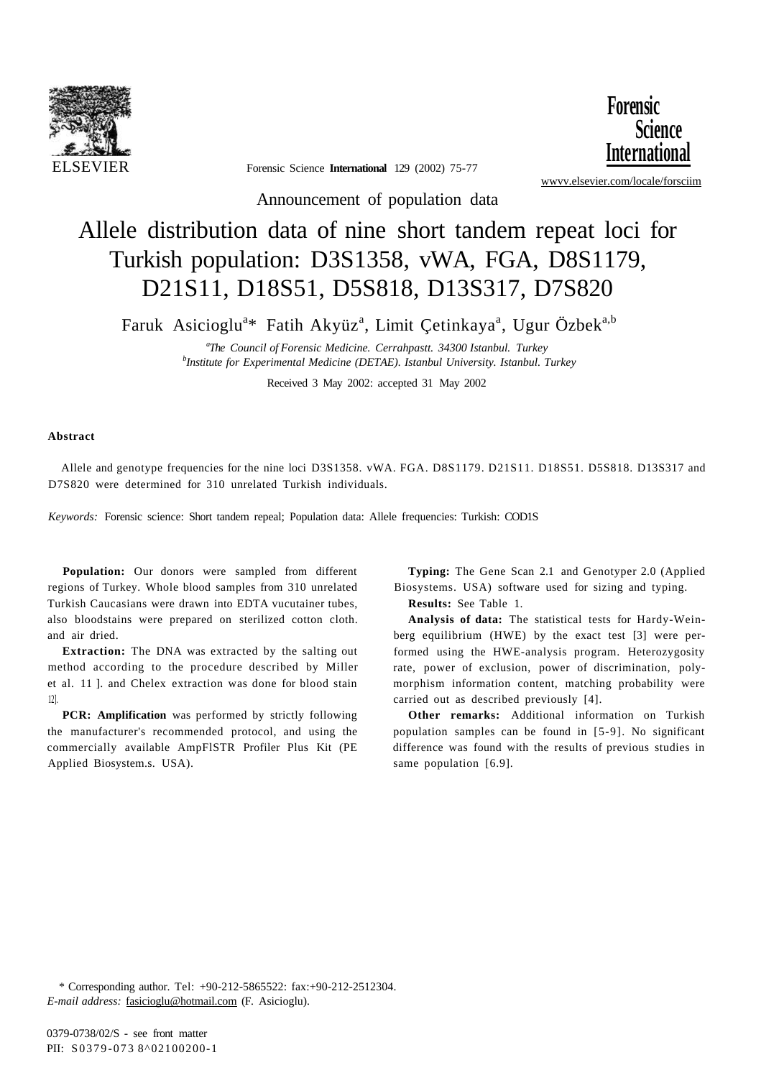

ELSEVIER Forensic Science **International** 129 (2002) 75-77

**Forensic Science International** 

[wwvv.elsevier.com/locale/forsciim](http://wwvv.elsevier.com/locale/forsciim) 

Announcement of population data

## Allele distribution data of nine short tandem repeat loci for Turkish population: D3S1358, vWA, FGA, D8S1179, D21S11, D18S51, D5S818, D13S317, D7S820

Faruk Asicioglu<sup>a</sup>\* Fatih Akyüz<sup>a</sup>, Limit Çetinkaya<sup>a</sup>, Ugur Özbek<sup>a,b</sup>

*a The Council of Forensic Medicine. Cerrahpastt. 34300 Istanbul. Turkey b Institute for Experimental Medicine (DETAE). Istanbul University. Istanbul. Turkey* 

Received 3 May 2002: accepted 31 May 2002

## **Abstract**

Allele and genotype frequencies for the nine loci D3S1358. vWA. FGA. D8S1179. D21S11. D18S51. D5S818. D13S317 and D7S820 were determined for 310 unrelated Turkish individuals.

*Keywords:* Forensic science: Short tandem repeal; Population data: Allele frequencies: Turkish: COD1S

**Population:** Our donors were sampled from different regions of Turkey. Whole blood samples from 310 unrelated Turkish Caucasians were drawn into EDTA vucutainer tubes, also bloodstains were prepared on sterilized cotton cloth. and air dried.

**Extraction:** The DNA was extracted by the salting out method according to the procedure described by Miller et al. 11 ]. and Chelex extraction was done for blood stain 12].

**PCR: Amplification** was performed by strictly following the manufacturer's recommended protocol, and using the commercially available AmpFlSTR Profiler Plus Kit (PE Applied Biosystem.s. USA).

**Typing:** The Gene Scan 2.1 and Genotyper 2.0 (Applied Biosystems. USA) software used for sizing and typing.

**Results:** See Table 1.

**Analysis of data:** The statistical tests for Hardy-Weinberg equilibrium (HWE) by the exact test [3] were performed using the HWE-analysis program. Heterozygosity rate, power of exclusion, power of discrimination, polymorphism information content, matching probability were carried out as described previously [4].

**Other remarks:** Additional information on Turkish population samples can be found in [5-9]. No significant difference was found with the results of previous studies in same population [6.9].

\* Corresponding author. Tel: +90-212-5865522: fax:+90-212-2512304. *E-mail address:* [fasicioglu@hotmail.com](mailto:fasicioglu@hotmail.com) (F. Asicioglu).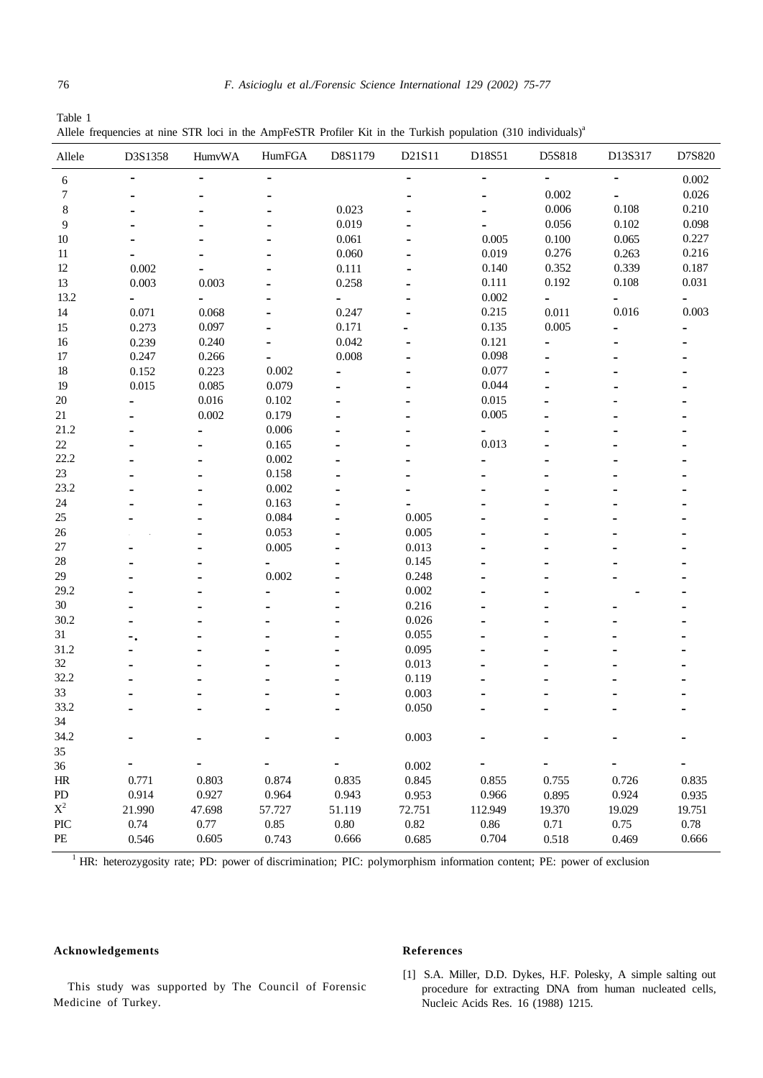| Table 1                                                                                                                  |  |
|--------------------------------------------------------------------------------------------------------------------------|--|
| Allele frequencies at nine STR loci in the AmpFeSTR Profiler Kit in the Turkish population $(310 \text{ individuals})^a$ |  |

| Allele         | D3S1358        | <b>HumvWA</b> | <b>HumFGA</b> | D8S1179  | D21S11 | D18S51  | D5S818                       | D13S317        | D7S820 |
|----------------|----------------|---------------|---------------|----------|--------|---------|------------------------------|----------------|--------|
| 6              |                |               |               |          |        |         | $\qquad \qquad \blacksquare$ |                | 0.002  |
| $\tau$         |                |               |               |          |        |         | 0.002                        | $\blacksquare$ | 0.026  |
| 8              |                |               |               | 0.023    |        |         | 0.006                        | 0.108          | 0.210  |
| 9              |                |               |               | 0.019    |        |         | 0.056                        | 0.102          | 0.098  |
| 10             |                |               |               | 0.061    |        | 0.005   | 0.100                        | 0.065          | 0.227  |
| 11             |                |               |               | 0.060    |        | 0.019   | 0.276                        | 0.263          | 0.216  |
| 12             | 0.002          |               |               | 0.111    |        | 0.140   | 0.352                        | 0.339          | 0.187  |
| 13             | 0.003          | 0.003         |               | 0.258    |        | 0.111   | 0.192                        | 0.108          | 0.031  |
| 13.2           | $\blacksquare$ |               |               | ٠        |        | 0.002   | ÷,                           | ٠              | Ξ.     |
| 14             | 0.071          | 0.068         |               | 0.247    |        | 0.215   | 0.011                        | 0.016          | 0.003  |
| 15             | 0.273          | 0.097         |               | 0.171    |        | 0.135   | 0.005                        |                |        |
| 16             | 0.239          | 0.240         |               | 0.042    |        | 0.121   |                              |                |        |
| 17             | 0.247          | 0.266         |               | 0.008    |        | 0.098   |                              |                |        |
| 18             | 0.152          | 0.223         | 0.002         |          |        | 0.077   |                              |                |        |
| 19             | 0.015          | 0.085         | 0.079         |          |        | 0.044   |                              |                |        |
| 20             |                | 0.016         | 0.102         |          |        | 0.015   |                              |                |        |
| 21             |                | 0.002         | 0.179         |          |        | 0.005   |                              |                |        |
|                |                |               |               |          |        |         |                              |                |        |
| 21.2           |                |               | 0.006         |          |        |         |                              |                |        |
| 22             |                |               | 0.165         |          |        | 0.013   |                              |                |        |
| 22.2           |                |               | 0.002         |          |        |         |                              |                |        |
| 23             |                |               | 0.158         |          |        |         |                              |                |        |
| 23.2           |                |               | 0.002         |          |        |         |                              |                |        |
| 24             |                |               | 0.163         |          |        |         |                              |                |        |
| $25\,$         |                |               | 0.084         |          | 0.005  |         |                              |                |        |
| 26             |                |               | 0.053         |          | 0.005  |         |                              |                |        |
| $27\,$         |                |               | 0.005         |          | 0.013  |         |                              |                |        |
| $28\,$         |                |               |               |          | 0.145  |         |                              |                |        |
| 29             |                |               | 0.002         |          | 0.248  |         |                              |                |        |
| 29.2           |                |               |               |          | 0.002  |         |                              |                |        |
| 30             |                |               |               |          | 0.216  |         |                              |                |        |
| 30.2           |                |               |               |          | 0.026  |         |                              |                |        |
| 31             |                |               |               |          | 0.055  |         |                              |                |        |
| 31.2           |                |               |               |          | 0.095  |         |                              |                |        |
| 32             |                |               |               |          | 0.013  |         |                              |                |        |
| 32.2           |                |               |               |          | 0.119  |         |                              |                |        |
| 33             |                |               |               |          | 0.003  |         |                              |                |        |
| 33.2           |                |               |               |          | 0.050  |         |                              |                |        |
| 34             |                |               |               |          |        |         |                              |                |        |
| 34.2           |                |               |               |          | 0.003  |         |                              |                |        |
| 35             |                |               |               |          |        |         |                              |                |        |
| 36             |                |               |               |          | 0.002  |         |                              |                |        |
| HR             | 0.771          | 0.803         | 0.874         | 0.835    | 0.845  | 0.855   | 0.755                        | 0.726          | 0.835  |
| ${\rm PD}$     | 0.914          | 0.927         | 0.964         | 0.943    | 0.953  | 0.966   | 0.895                        | 0.924          | 0.935  |
| $\mathbf{X}^2$ | 21.990         | 47.698        | 57.727        | 51.119   | 72.751 | 112.949 | 19.370                       | 19.029         | 19.751 |
| PIC            | 0.74           | 0.77          | 0.85          | $0.80\,$ | 0.82   | 0.86    | 0.71                         | 0.75           | 0.78   |
|                |                |               |               |          |        |         |                              |                |        |
| PE             | 0.546          | 0.605         | 0.743         | 0.666    | 0.685  | 0.704   | 0.518                        | 0.469          | 0.666  |

<sup>1</sup> HR: heterozygosity rate; PD: power of discrimination; PIC: polymorphism information content; PE: power of exclusion

## **Acknowledgements**

## **References**

- This study was supported by The Council of Forensic Medicine of Turkey.
- [1] S.A. Miller, D.D. Dykes, H.F. Polesky, A simple salting out procedure for extracting DNA from human nucleated cells, Nucleic Acids Res. 16 (1988) 1215.